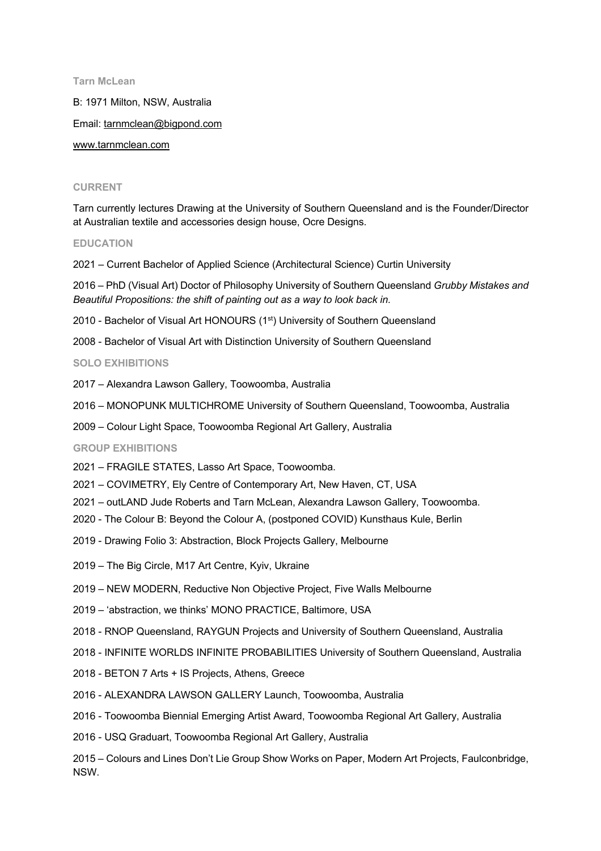**Tarn McLean**

B: 1971 Milton, NSW, Australia

Email: tarnmclean@bigpond.com

www.tarnmclean.com

### **CURRENT**

Tarn currently lectures Drawing at the University of Southern Queensland and is the Founder/Director at Australian textile and accessories design house, Ocre Designs.

## **EDUCATION**

2021 – Current Bachelor of Applied Science (Architectural Science) Curtin University

2016 – PhD (Visual Art) Doctor of Philosophy University of Southern Queensland *Grubby Mistakes and Beautiful Propositions: the shift of painting out as a way to look back in.*

- 2010 Bachelor of Visual Art HONOURS (1<sup>st</sup>) University of Southern Queensland
- 2008 Bachelor of Visual Art with Distinction University of Southern Queensland

## **SOLO EXHIBITIONS**

- 2017 Alexandra Lawson Gallery, Toowoomba, Australia
- 2016 MONOPUNK MULTICHROME University of Southern Queensland, Toowoomba, Australia
- 2009 Colour Light Space, Toowoomba Regional Art Gallery, Australia

### **GROUP EXHIBITIONS**

- 2021 FRAGILE STATES, Lasso Art Space, Toowoomba.
- 2021 COVIMETRY, Ely Centre of Contemporary Art, New Haven, CT, USA
- 2021 outLAND Jude Roberts and Tarn McLean, Alexandra Lawson Gallery, Toowoomba.
- 2020 The Colour B: Beyond the Colour A, (postponed COVID) Kunsthaus Kule, Berlin
- 2019 Drawing Folio 3: Abstraction, Block Projects Gallery, Melbourne
- 2019 The Big Circle, M17 Art Centre, Kyiv, Ukraine
- 2019 NEW MODERN, Reductive Non Objective Project, Five Walls Melbourne
- 2019 'abstraction, we thinks' MONO PRACTICE, Baltimore, USA
- 2018 RNOP Queensland, RAYGUN Projects and University of Southern Queensland, Australia
- 2018 INFINITE WORLDS INFINITE PROBABILITIES University of Southern Queensland, Australia
- 2018 BETON 7 Arts + IS Projects, Athens, Greece
- 2016 ALEXANDRA LAWSON GALLERY Launch, Toowoomba, Australia
- 2016 Toowoomba Biennial Emerging Artist Award, Toowoomba Regional Art Gallery, Australia
- 2016 USQ Graduart, Toowoomba Regional Art Gallery, Australia
- 2015 Colours and Lines Don't Lie Group Show Works on Paper, Modern Art Projects, Faulconbridge, NSW.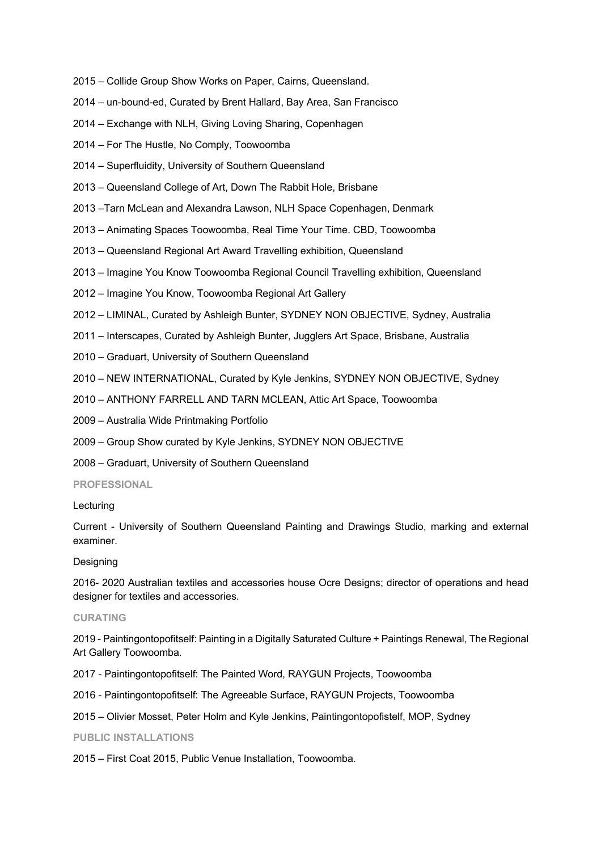- 2015 Collide Group Show Works on Paper, Cairns, Queensland.
- 2014 un-bound-ed, Curated by Brent Hallard, Bay Area, San Francisco
- 2014 Exchange with NLH, Giving Loving Sharing, Copenhagen
- 2014 For The Hustle, No Comply, Toowoomba
- 2014 Superfluidity, University of Southern Queensland
- 2013 Queensland College of Art, Down The Rabbit Hole, Brisbane
- 2013 –Tarn McLean and Alexandra Lawson, NLH Space Copenhagen, Denmark
- 2013 Animating Spaces Toowoomba, Real Time Your Time. CBD, Toowoomba
- 2013 Queensland Regional Art Award Travelling exhibition, Queensland
- 2013 Imagine You Know Toowoomba Regional Council Travelling exhibition, Queensland
- 2012 Imagine You Know, Toowoomba Regional Art Gallery
- 2012 LIMINAL, Curated by Ashleigh Bunter, SYDNEY NON OBJECTIVE, Sydney, Australia
- 2011 Interscapes, Curated by Ashleigh Bunter, Jugglers Art Space, Brisbane, Australia
- 2010 Graduart, University of Southern Queensland
- 2010 NEW INTERNATIONAL, Curated by Kyle Jenkins, SYDNEY NON OBJECTIVE, Sydney
- 2010 ANTHONY FARRELL AND TARN MCLEAN, Attic Art Space, Toowoomba
- 2009 Australia Wide Printmaking Portfolio
- 2009 Group Show curated by Kyle Jenkins, SYDNEY NON OBJECTIVE
- 2008 Graduart, University of Southern Queensland

# **PROFESSIONAL**

# Lecturing

Current - University of Southern Queensland Painting and Drawings Studio, marking and external examiner.

# Designing

2016- 2020 Australian textiles and accessories house Ocre Designs; director of operations and head designer for textiles and accessories.

## **CURATING**

2019 - Paintingontopofitself: Painting in a Digitally Saturated Culture + Paintings Renewal, The Regional Art Gallery Toowoomba.

- 2017 Paintingontopofitself: The Painted Word, RAYGUN Projects, Toowoomba
- 2016 Paintingontopofitself: The Agreeable Surface, RAYGUN Projects, Toowoomba
- 2015 Olivier Mosset, Peter Holm and Kyle Jenkins, Paintingontopofistelf, MOP, Sydney

**PUBLIC INSTALLATIONS**

2015 – First Coat 2015, Public Venue Installation, Toowoomba.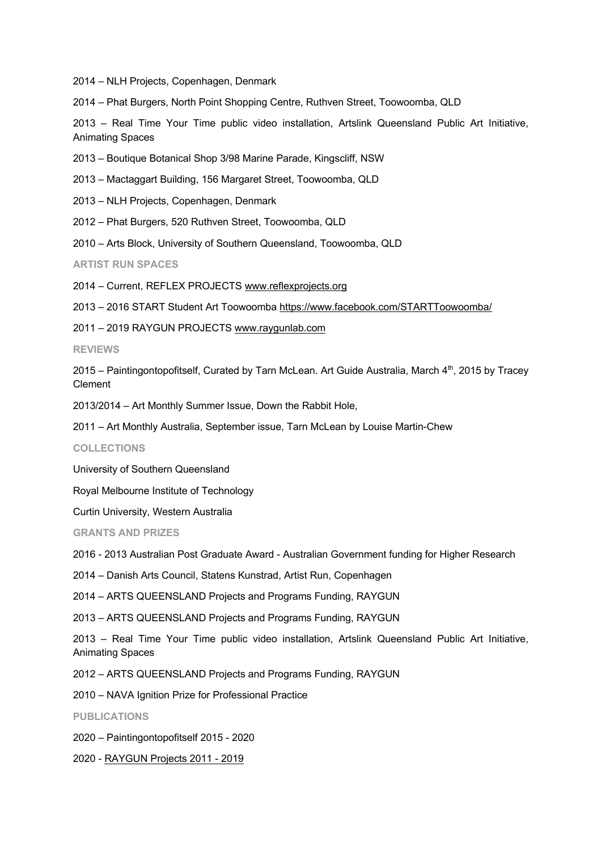2014 – NLH Projects, Copenhagen, Denmark

2014 – Phat Burgers, North Point Shopping Centre, Ruthven Street, Toowoomba, QLD

2013 – Real Time Your Time public video installation, Artslink Queensland Public Art Initiative, Animating Spaces

2013 – Boutique Botanical Shop 3/98 Marine Parade, Kingscliff, NSW

2013 – Mactaggart Building, 156 Margaret Street, Toowoomba, QLD

2013 – NLH Projects, Copenhagen, Denmark

2012 – Phat Burgers, 520 Ruthven Street, Toowoomba, QLD

2010 – Arts Block, University of Southern Queensland, Toowoomba, QLD

**ARTIST RUN SPACES**

2014 – Current, REFLEX PROJECTS www.reflexprojects.org

2013 – 2016 START Student Art Toowoomba https://www.facebook.com/STARTToowoomba/

2011 – 2019 RAYGUN PROJECTS www.raygunlab.com

# **REVIEWS**

2015 – Paintingontopofitself, Curated by Tarn McLean. Art Guide Australia, March 4th, 2015 by Tracey Clement

2013/2014 – Art Monthly Summer Issue, Down the Rabbit Hole,

2011 – Art Monthly Australia, September issue, Tarn McLean by Louise Martin-Chew

**COLLECTIONS**

University of Southern Queensland

Royal Melbourne Institute of Technology

Curtin University, Western Australia

**GRANTS AND PRIZES**

2016 - 2013 Australian Post Graduate Award - Australian Government funding for Higher Research

2014 – Danish Arts Council, Statens Kunstrad, Artist Run, Copenhagen

2014 – ARTS QUEENSLAND Projects and Programs Funding, RAYGUN

2013 – ARTS QUEENSLAND Projects and Programs Funding, RAYGUN

2013 – Real Time Your Time public video installation, Artslink Queensland Public Art Initiative, Animating Spaces

2012 – ARTS QUEENSLAND Projects and Programs Funding, RAYGUN

2010 – NAVA Ignition Prize for Professional Practice

**PUBLICATIONS**

2020 – Paintingontopofitself 2015 - 2020

2020 - RAYGUN Projects 2011 - 2019